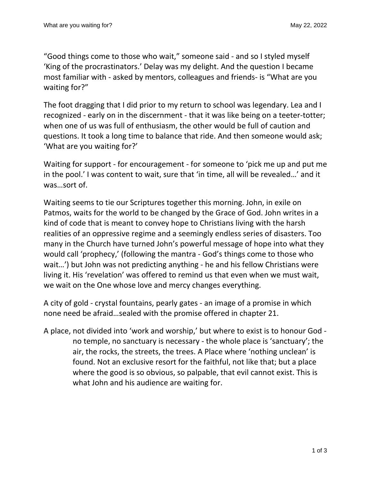"Good things come to those who wait," someone said - and so I styled myself 'King of the procrastinators.' Delay was my delight. And the question I became most familiar with - asked by mentors, colleagues and friends- is "What are you waiting for?"

The foot dragging that I did prior to my return to school was legendary. Lea and I recognized - early on in the discernment - that it was like being on a teeter-totter; when one of us was full of enthusiasm, the other would be full of caution and questions. It took a long time to balance that ride. And then someone would ask; 'What are you waiting for?'

Waiting for support - for encouragement - for someone to 'pick me up and put me in the pool.' I was content to wait, sure that 'in time, all will be revealed…' and it was…sort of.

Waiting seems to tie our Scriptures together this morning. John, in exile on Patmos, waits for the world to be changed by the Grace of God. John writes in a kind of code that is meant to convey hope to Christians living with the harsh realities of an oppressive regime and a seemingly endless series of disasters. Too many in the Church have turned John's powerful message of hope into what they would call 'prophecy,' (following the mantra - God's things come to those who wait…') but John was not predicting anything - he and his fellow Christians were living it. His 'revelation' was offered to remind us that even when we must wait, we wait on the One whose love and mercy changes everything.

A city of gold - crystal fountains, pearly gates - an image of a promise in which none need be afraid…sealed with the promise offered in chapter 21.

A place, not divided into 'work and worship,' but where to exist is to honour God no temple, no sanctuary is necessary - the whole place is 'sanctuary'; the air, the rocks, the streets, the trees. A Place where 'nothing unclean' is found. Not an exclusive resort for the faithful, not like that; but a place where the good is so obvious, so palpable, that evil cannot exist. This is what John and his audience are waiting for.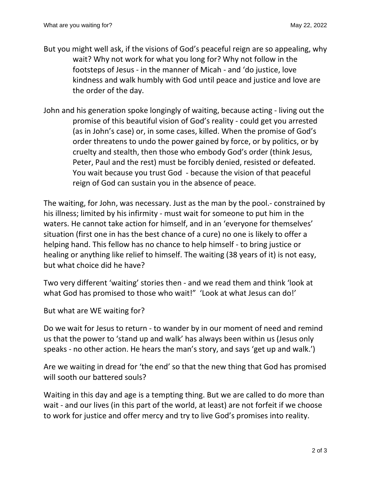- But you might well ask, if the visions of God's peaceful reign are so appealing, why wait? Why not work for what you long for? Why not follow in the footsteps of Jesus - in the manner of Micah - and 'do justice, love kindness and walk humbly with God until peace and justice and love are the order of the day.
- John and his generation spoke longingly of waiting, because acting living out the promise of this beautiful vision of God's reality - could get you arrested (as in John's case) or, in some cases, killed. When the promise of God's order threatens to undo the power gained by force, or by politics, or by cruelty and stealth, then those who embody God's order (think Jesus, Peter, Paul and the rest) must be forcibly denied, resisted or defeated. You wait because you trust God - because the vision of that peaceful reign of God can sustain you in the absence of peace.

The waiting, for John, was necessary. Just as the man by the pool.- constrained by his illness; limited by his infirmity - must wait for someone to put him in the waters. He cannot take action for himself, and in an 'everyone for themselves' situation (first one in has the best chance of a cure) no one is likely to offer a helping hand. This fellow has no chance to help himself - to bring justice or healing or anything like relief to himself. The waiting (38 years of it) is not easy, but what choice did he have?

Two very different 'waiting' stories then - and we read them and think 'look at what God has promised to those who wait!" 'Look at what Jesus can do!'

But what are WE waiting for?

Do we wait for Jesus to return - to wander by in our moment of need and remind us that the power to 'stand up and walk' has always been within us (Jesus only speaks - no other action. He hears the man's story, and says 'get up and walk.')

Are we waiting in dread for 'the end' so that the new thing that God has promised will sooth our battered souls?

Waiting in this day and age is a tempting thing. But we are called to do more than wait - and our lives (in this part of the world, at least) are not forfeit if we choose to work for justice and offer mercy and try to live God's promises into reality.